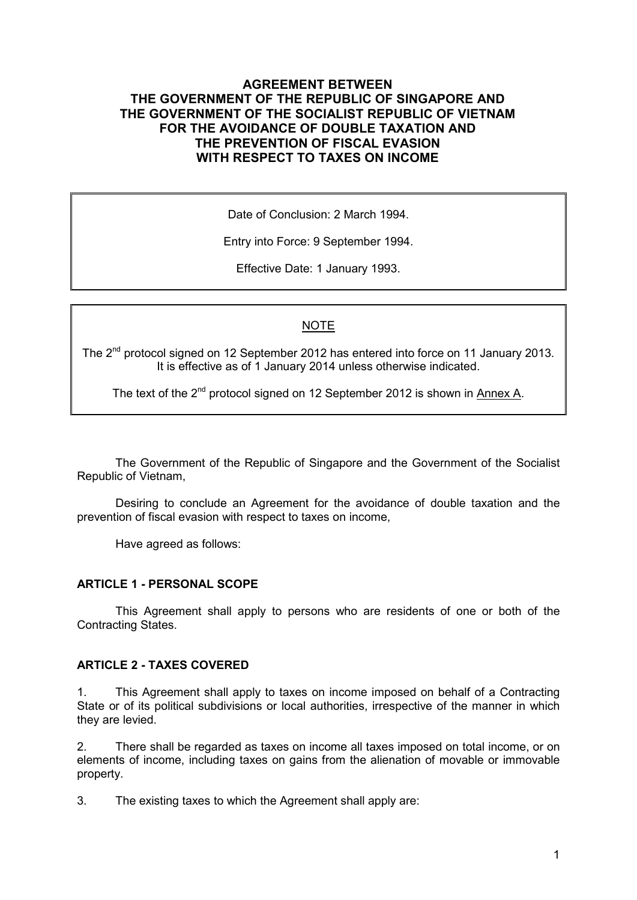#### **AGREEMENT BETWEEN THE GOVERNMENT OF THE REPUBLIC OF SINGAPORE AND THE GOVERNMENT OF THE SOCIALIST REPUBLIC OF VIETNAM FOR THE AVOIDANCE OF DOUBLE TAXATION AND THE PREVENTION OF FISCAL EVASION WITH RESPECT TO TAXES ON INCOME**

Date of Conclusion: 2 March 1994.

Entry into Force: 9 September 1994.

Effective Date: 1 January 1993.

# NOTE

The 2<sup>nd</sup> protocol signed on 12 September 2012 has entered into force on 11 January 2013. It is effective as of 1 January 2014 unless otherwise indicated.

The text of the  $2^{nd}$  protocol signed on 12 September 2012 is shown in Annex A.

 The Government of the Republic of Singapore and the Government of the Socialist Republic of Vietnam,

 Desiring to conclude an Agreement for the avoidance of double taxation and the prevention of fiscal evasion with respect to taxes on income,

Have agreed as follows:

#### **ARTICLE 1 - PERSONAL SCOPE**

This Agreement shall apply to persons who are residents of one or both of the Contracting States.

#### **ARTICLE 2 - TAXES COVERED**

1. This Agreement shall apply to taxes on income imposed on behalf of a Contracting State or of its political subdivisions or local authorities, irrespective of the manner in which they are levied.

2. There shall be regarded as taxes on income all taxes imposed on total income, or on elements of income, including taxes on gains from the alienation of movable or immovable property.

3. The existing taxes to which the Agreement shall apply are: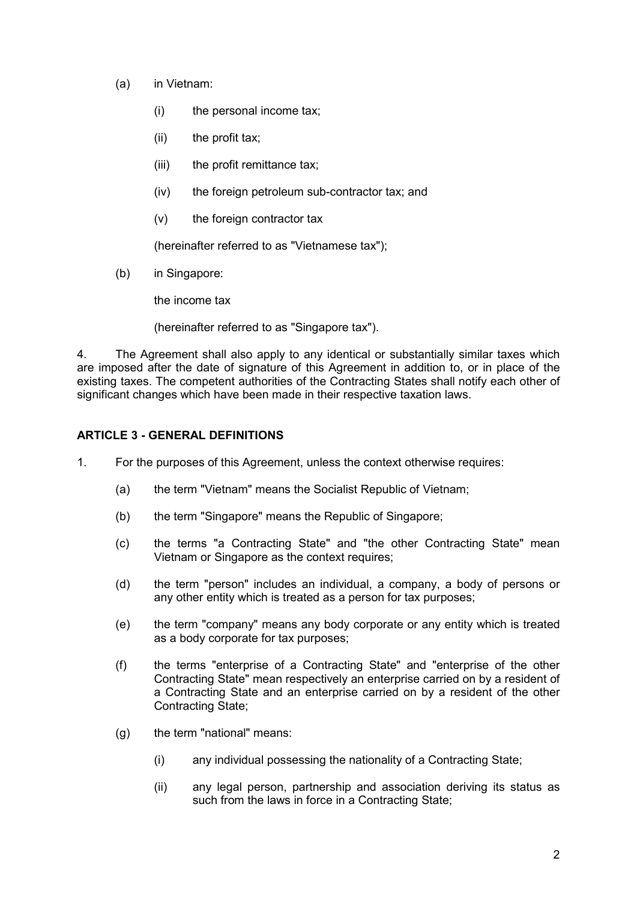- (a) in Vietnam:
	- (i) the personal income tax;
	- (ii) the profit tax;
	- (iii) the profit remittance tax;
	- (iv) the foreign petroleum sub-contractor tax; and
	- (v) the foreign contractor tax

(hereinafter referred to as "Vietnamese tax");

(b) in Singapore:

the income tax

(hereinafter referred to as "Singapore tax").

4. The Agreement shall also apply to any identical or substantially similar taxes which are imposed after the date of signature of this Agreement in addition to, or in place of the existing taxes. The competent authorities of the Contracting States shall notify each other of significant changes which have been made in their respective taxation laws.

# **ARTICLE 3 - GENERAL DEFINITIONS**

- 1. For the purposes of this Agreement, unless the context otherwise requires:
	- (a) the term "Vietnam" means the Socialist Republic of Vietnam;
	- (b) the term "Singapore" means the Republic of Singapore;
	- (c) the terms "a Contracting State" and "the other Contracting State" mean Vietnam or Singapore as the context requires;
	- (d) the term "person" includes an individual, a company, a body of persons or any other entity which is treated as a person for tax purposes;
	- (e) the term "company" means any body corporate or any entity which is treated as a body corporate for tax purposes;
	- (f) the terms "enterprise of a Contracting State" and "enterprise of the other Contracting State" mean respectively an enterprise carried on by a resident of a Contracting State and an enterprise carried on by a resident of the other Contracting State;
	- (g) the term "national" means:
		- (i) any individual possessing the nationality of a Contracting State;
		- (ii) any legal person, partnership and association deriving its status as such from the laws in force in a Contracting State;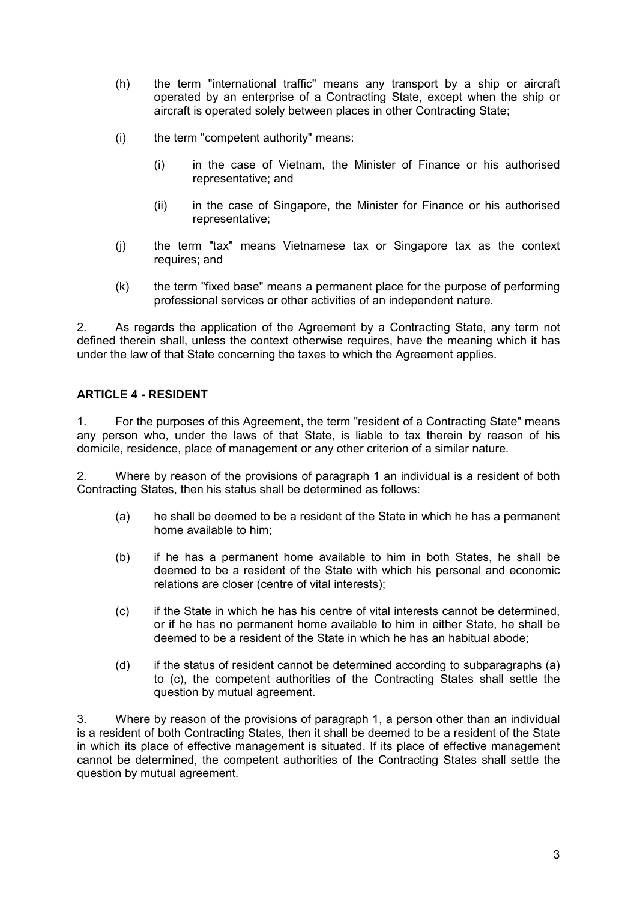- (h) the term "international traffic" means any transport by a ship or aircraft operated by an enterprise of a Contracting State, except when the ship or aircraft is operated solely between places in other Contracting State;
- (i) the term "competent authority" means:
	- (i) in the case of Vietnam, the Minister of Finance or his authorised representative; and
	- (ii) in the case of Singapore, the Minister for Finance or his authorised representative;
- (j) the term "tax" means Vietnamese tax or Singapore tax as the context requires; and
- (k) the term "fixed base" means a permanent place for the purpose of performing professional services or other activities of an independent nature.

2. As regards the application of the Agreement by a Contracting State, any term not defined therein shall, unless the context otherwise requires, have the meaning which it has under the law of that State concerning the taxes to which the Agreement applies.

# **ARTICLE 4 - RESIDENT**

1. For the purposes of this Agreement, the term "resident of a Contracting State" means any person who, under the laws of that State, is liable to tax therein by reason of his domicile, residence, place of management or any other criterion of a similar nature.

2. Where by reason of the provisions of paragraph 1 an individual is a resident of both Contracting States, then his status shall be determined as follows:

- (a) he shall be deemed to be a resident of the State in which he has a permanent home available to him;
- (b) if he has a permanent home available to him in both States, he shall be deemed to be a resident of the State with which his personal and economic relations are closer (centre of vital interests);
- (c) if the State in which he has his centre of vital interests cannot be determined, or if he has no permanent home available to him in either State, he shall be deemed to be a resident of the State in which he has an habitual abode;
- (d) if the status of resident cannot be determined according to subparagraphs (a) to (c), the competent authorities of the Contracting States shall settle the question by mutual agreement.

3. Where by reason of the provisions of paragraph 1, a person other than an individual is a resident of both Contracting States, then it shall be deemed to be a resident of the State in which its place of effective management is situated. If its place of effective management cannot be determined, the competent authorities of the Contracting States shall settle the question by mutual agreement.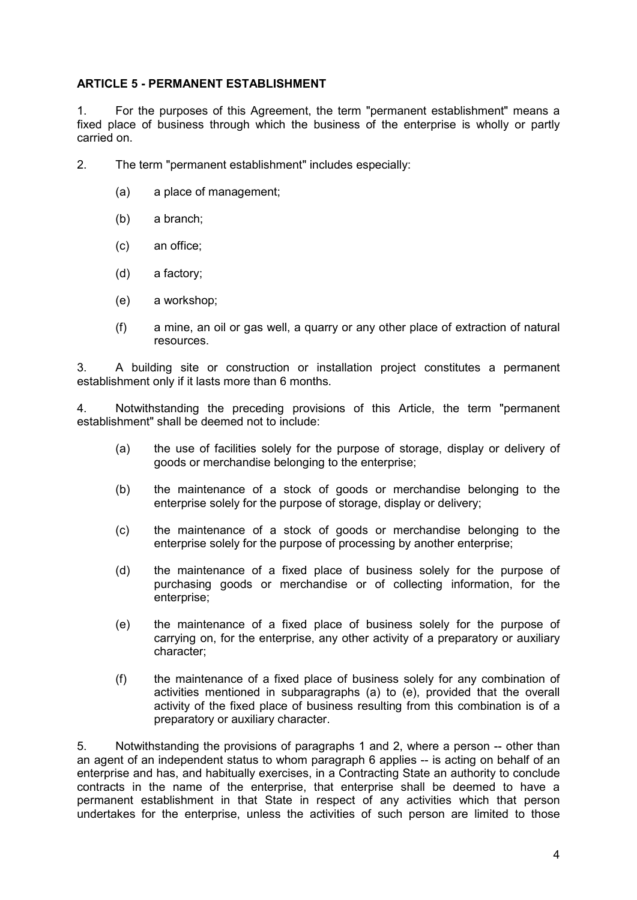#### **ARTICLE 5 - PERMANENT ESTABLISHMENT**

1. For the purposes of this Agreement, the term "permanent establishment" means a fixed place of business through which the business of the enterprise is wholly or partly carried on.

- 2. The term "permanent establishment" includes especially:
	- (a) a place of management;
	- (b) a branch;
	- (c) an office;
	- (d) a factory;
	- (e) a workshop;
	- (f) a mine, an oil or gas well, a quarry or any other place of extraction of natural resources.

3. A building site or construction or installation project constitutes a permanent establishment only if it lasts more than 6 months.

4. Notwithstanding the preceding provisions of this Article, the term "permanent establishment" shall be deemed not to include:

- (a) the use of facilities solely for the purpose of storage, display or delivery of goods or merchandise belonging to the enterprise;
- (b) the maintenance of a stock of goods or merchandise belonging to the enterprise solely for the purpose of storage, display or delivery;
- (c) the maintenance of a stock of goods or merchandise belonging to the enterprise solely for the purpose of processing by another enterprise;
- (d) the maintenance of a fixed place of business solely for the purpose of purchasing goods or merchandise or of collecting information, for the enterprise;
- (e) the maintenance of a fixed place of business solely for the purpose of carrying on, for the enterprise, any other activity of a preparatory or auxiliary character;
- (f) the maintenance of a fixed place of business solely for any combination of activities mentioned in subparagraphs (a) to (e), provided that the overall activity of the fixed place of business resulting from this combination is of a preparatory or auxiliary character.

5. Notwithstanding the provisions of paragraphs 1 and 2, where a person -- other than an agent of an independent status to whom paragraph 6 applies -- is acting on behalf of an enterprise and has, and habitually exercises, in a Contracting State an authority to conclude contracts in the name of the enterprise, that enterprise shall be deemed to have a permanent establishment in that State in respect of any activities which that person undertakes for the enterprise, unless the activities of such person are limited to those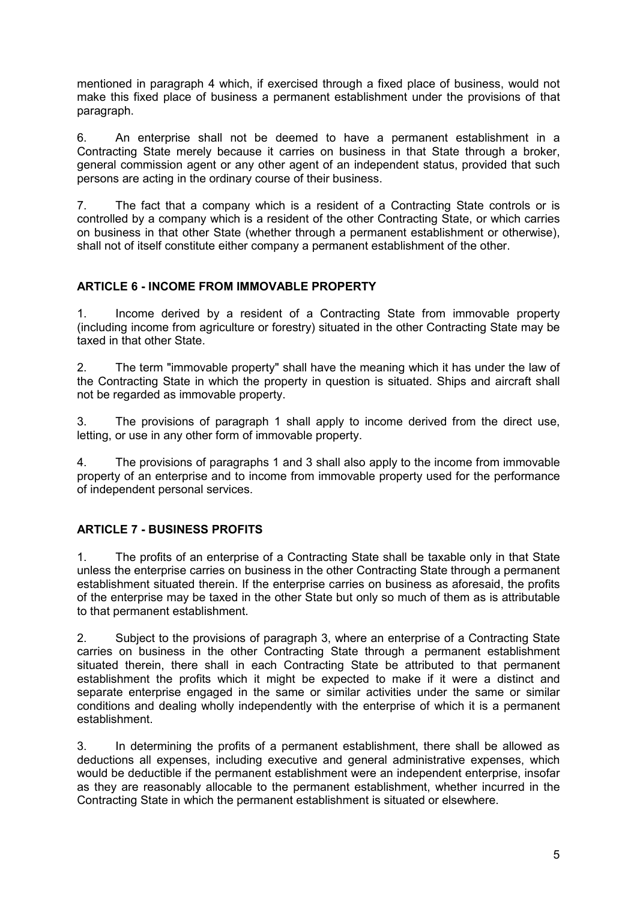mentioned in paragraph 4 which, if exercised through a fixed place of business, would not make this fixed place of business a permanent establishment under the provisions of that paragraph.

6. An enterprise shall not be deemed to have a permanent establishment in a Contracting State merely because it carries on business in that State through a broker, general commission agent or any other agent of an independent status, provided that such persons are acting in the ordinary course of their business.

7. The fact that a company which is a resident of a Contracting State controls or is controlled by a company which is a resident of the other Contracting State, or which carries on business in that other State (whether through a permanent establishment or otherwise), shall not of itself constitute either company a permanent establishment of the other.

# **ARTICLE 6 - INCOME FROM IMMOVABLE PROPERTY**

1. Income derived by a resident of a Contracting State from immovable property (including income from agriculture or forestry) situated in the other Contracting State may be taxed in that other State.

2. The term "immovable property" shall have the meaning which it has under the law of the Contracting State in which the property in question is situated. Ships and aircraft shall not be regarded as immovable property.

3. The provisions of paragraph 1 shall apply to income derived from the direct use, letting, or use in any other form of immovable property.

4. The provisions of paragraphs 1 and 3 shall also apply to the income from immovable property of an enterprise and to income from immovable property used for the performance of independent personal services.

# **ARTICLE 7 - BUSINESS PROFITS**

1. The profits of an enterprise of a Contracting State shall be taxable only in that State unless the enterprise carries on business in the other Contracting State through a permanent establishment situated therein. If the enterprise carries on business as aforesaid, the profits of the enterprise may be taxed in the other State but only so much of them as is attributable to that permanent establishment.

2. Subject to the provisions of paragraph 3, where an enterprise of a Contracting State carries on business in the other Contracting State through a permanent establishment situated therein, there shall in each Contracting State be attributed to that permanent establishment the profits which it might be expected to make if it were a distinct and separate enterprise engaged in the same or similar activities under the same or similar conditions and dealing wholly independently with the enterprise of which it is a permanent establishment.

3. In determining the profits of a permanent establishment, there shall be allowed as deductions all expenses, including executive and general administrative expenses, which would be deductible if the permanent establishment were an independent enterprise, insofar as they are reasonably allocable to the permanent establishment, whether incurred in the Contracting State in which the permanent establishment is situated or elsewhere.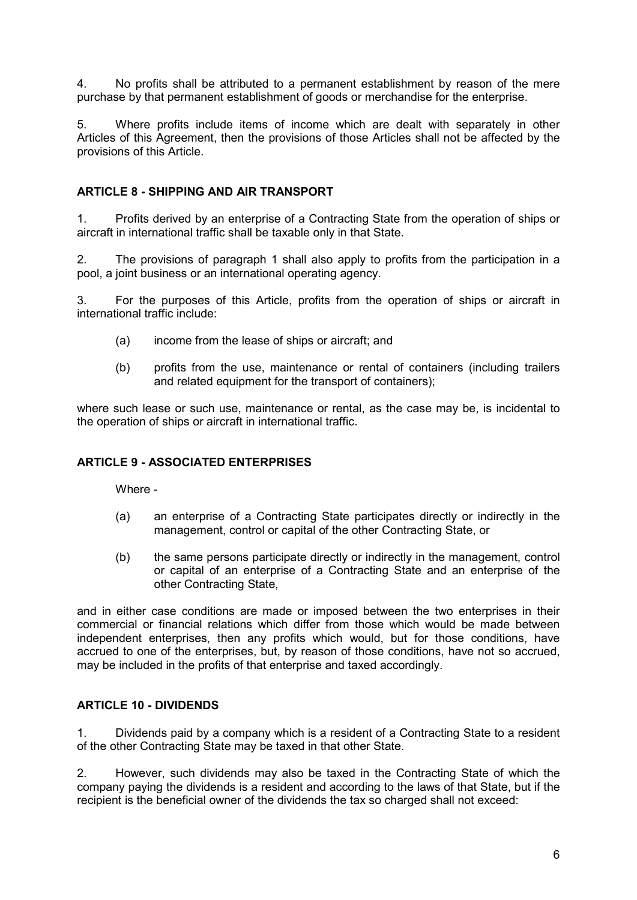4. No profits shall be attributed to a permanent establishment by reason of the mere purchase by that permanent establishment of goods or merchandise for the enterprise.

5. Where profits include items of income which are dealt with separately in other Articles of this Agreement, then the provisions of those Articles shall not be affected by the provisions of this Article.

#### **ARTICLE 8 - SHIPPING AND AIR TRANSPORT**

1. Profits derived by an enterprise of a Contracting State from the operation of ships or aircraft in international traffic shall be taxable only in that State.

2. The provisions of paragraph 1 shall also apply to profits from the participation in a pool, a joint business or an international operating agency.

3. For the purposes of this Article, profits from the operation of ships or aircraft in international traffic include:

- (a) income from the lease of ships or aircraft; and
- (b) profits from the use, maintenance or rental of containers (including trailers and related equipment for the transport of containers);

where such lease or such use, maintenance or rental, as the case may be, is incidental to the operation of ships or aircraft in international traffic.

#### **ARTICLE 9 - ASSOCIATED ENTERPRISES**

Where -

- (a) an enterprise of a Contracting State participates directly or indirectly in the management, control or capital of the other Contracting State, or
- (b) the same persons participate directly or indirectly in the management, control or capital of an enterprise of a Contracting State and an enterprise of the other Contracting State,

and in either case conditions are made or imposed between the two enterprises in their commercial or financial relations which differ from those which would be made between independent enterprises, then any profits which would, but for those conditions, have accrued to one of the enterprises, but, by reason of those conditions, have not so accrued, may be included in the profits of that enterprise and taxed accordingly.

#### **ARTICLE 10 - DIVIDENDS**

1. Dividends paid by a company which is a resident of a Contracting State to a resident of the other Contracting State may be taxed in that other State.

2. However, such dividends may also be taxed in the Contracting State of which the company paying the dividends is a resident and according to the laws of that State, but if the recipient is the beneficial owner of the dividends the tax so charged shall not exceed: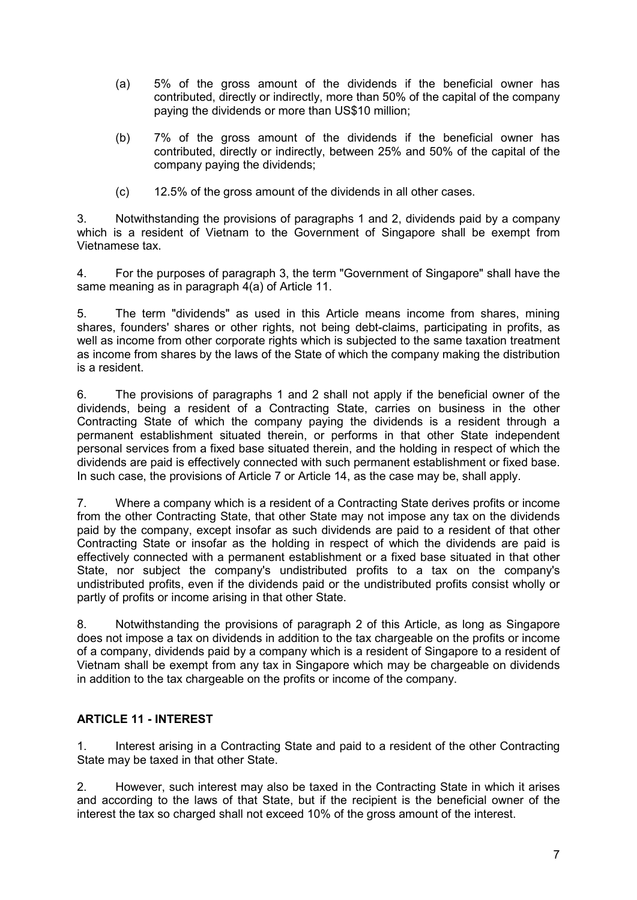- (a) 5% of the gross amount of the dividends if the beneficial owner has contributed, directly or indirectly, more than 50% of the capital of the company paying the dividends or more than US\$10 million;
- (b) 7% of the gross amount of the dividends if the beneficial owner has contributed, directly or indirectly, between 25% and 50% of the capital of the company paying the dividends;
- (c) 12.5% of the gross amount of the dividends in all other cases.

3. Notwithstanding the provisions of paragraphs 1 and 2, dividends paid by a company which is a resident of Vietnam to the Government of Singapore shall be exempt from Vietnamese tax.

4. For the purposes of paragraph 3, the term "Government of Singapore" shall have the same meaning as in paragraph 4(a) of Article 11.

5. The term "dividends" as used in this Article means income from shares, mining shares, founders' shares or other rights, not being debt-claims, participating in profits, as well as income from other corporate rights which is subjected to the same taxation treatment as income from shares by the laws of the State of which the company making the distribution is a resident.

6. The provisions of paragraphs 1 and 2 shall not apply if the beneficial owner of the dividends, being a resident of a Contracting State, carries on business in the other Contracting State of which the company paying the dividends is a resident through a permanent establishment situated therein, or performs in that other State independent personal services from a fixed base situated therein, and the holding in respect of which the dividends are paid is effectively connected with such permanent establishment or fixed base. In such case, the provisions of Article 7 or Article 14, as the case may be, shall apply.

7. Where a company which is a resident of a Contracting State derives profits or income from the other Contracting State, that other State may not impose any tax on the dividends paid by the company, except insofar as such dividends are paid to a resident of that other Contracting State or insofar as the holding in respect of which the dividends are paid is effectively connected with a permanent establishment or a fixed base situated in that other State, nor subject the company's undistributed profits to a tax on the company's undistributed profits, even if the dividends paid or the undistributed profits consist wholly or partly of profits or income arising in that other State.

8. Notwithstanding the provisions of paragraph 2 of this Article, as long as Singapore does not impose a tax on dividends in addition to the tax chargeable on the profits or income of a company, dividends paid by a company which is a resident of Singapore to a resident of Vietnam shall be exempt from any tax in Singapore which may be chargeable on dividends in addition to the tax chargeable on the profits or income of the company.

# **ARTICLE 11 - INTEREST**

1. Interest arising in a Contracting State and paid to a resident of the other Contracting State may be taxed in that other State.

2. However, such interest may also be taxed in the Contracting State in which it arises and according to the laws of that State, but if the recipient is the beneficial owner of the interest the tax so charged shall not exceed 10% of the gross amount of the interest.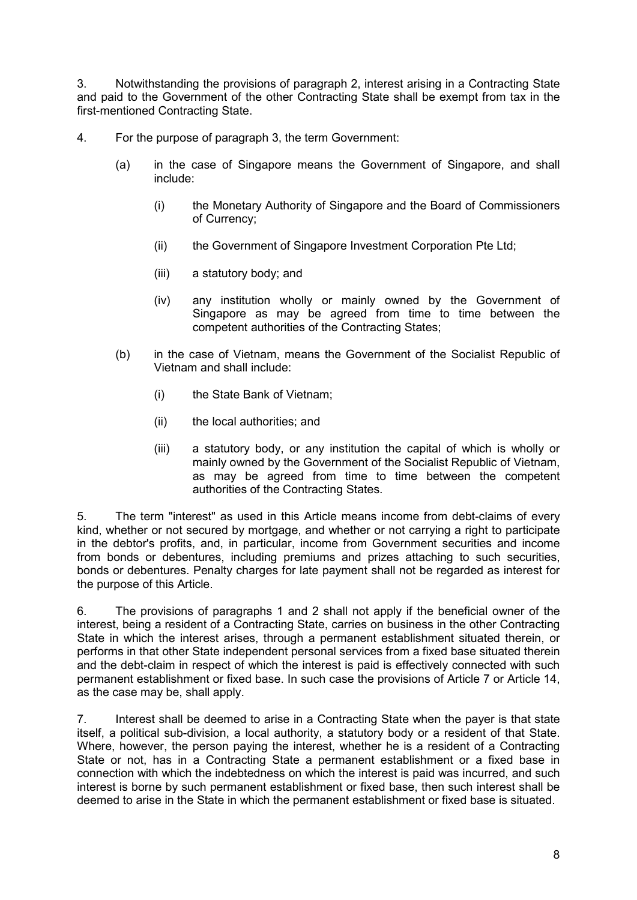3. Notwithstanding the provisions of paragraph 2, interest arising in a Contracting State and paid to the Government of the other Contracting State shall be exempt from tax in the first-mentioned Contracting State.

4. For the purpose of paragraph 3, the term Government:

- (a) in the case of Singapore means the Government of Singapore, and shall include:
	- (i) the Monetary Authority of Singapore and the Board of Commissioners of Currency;
	- (ii) the Government of Singapore Investment Corporation Pte Ltd;
	- (iii) a statutory body; and
	- (iv) any institution wholly or mainly owned by the Government of Singapore as may be agreed from time to time between the competent authorities of the Contracting States;
- (b) in the case of Vietnam, means the Government of the Socialist Republic of Vietnam and shall include:
	- (i) the State Bank of Vietnam;
	- (ii) the local authorities; and
	- (iii) a statutory body, or any institution the capital of which is wholly or mainly owned by the Government of the Socialist Republic of Vietnam, as may be agreed from time to time between the competent authorities of the Contracting States.

5. The term "interest" as used in this Article means income from debt-claims of every kind, whether or not secured by mortgage, and whether or not carrying a right to participate in the debtor's profits, and, in particular, income from Government securities and income from bonds or debentures, including premiums and prizes attaching to such securities, bonds or debentures. Penalty charges for late payment shall not be regarded as interest for the purpose of this Article.

6. The provisions of paragraphs 1 and 2 shall not apply if the beneficial owner of the interest, being a resident of a Contracting State, carries on business in the other Contracting State in which the interest arises, through a permanent establishment situated therein, or performs in that other State independent personal services from a fixed base situated therein and the debt-claim in respect of which the interest is paid is effectively connected with such permanent establishment or fixed base. In such case the provisions of Article 7 or Article 14, as the case may be, shall apply.

7. Interest shall be deemed to arise in a Contracting State when the payer is that state itself, a political sub-division, a local authority, a statutory body or a resident of that State. Where, however, the person paying the interest, whether he is a resident of a Contracting State or not, has in a Contracting State a permanent establishment or a fixed base in connection with which the indebtedness on which the interest is paid was incurred, and such interest is borne by such permanent establishment or fixed base, then such interest shall be deemed to arise in the State in which the permanent establishment or fixed base is situated.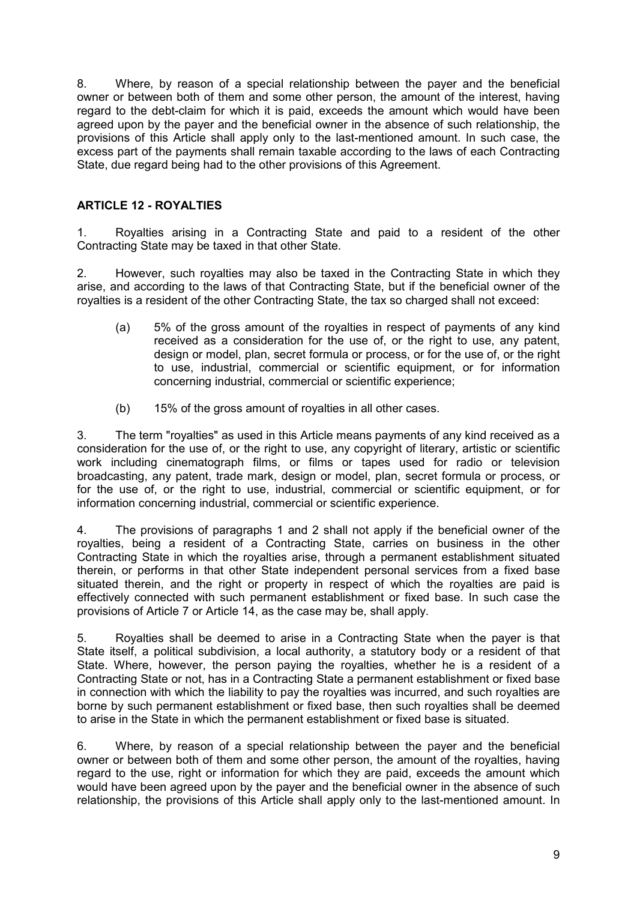8. Where, by reason of a special relationship between the payer and the beneficial owner or between both of them and some other person, the amount of the interest, having regard to the debt-claim for which it is paid, exceeds the amount which would have been agreed upon by the payer and the beneficial owner in the absence of such relationship, the provisions of this Article shall apply only to the last-mentioned amount. In such case, the excess part of the payments shall remain taxable according to the laws of each Contracting State, due regard being had to the other provisions of this Agreement.

# **ARTICLE 12 - ROYALTIES**

1. Royalties arising in a Contracting State and paid to a resident of the other Contracting State may be taxed in that other State.

2. However, such royalties may also be taxed in the Contracting State in which they arise, and according to the laws of that Contracting State, but if the beneficial owner of the royalties is a resident of the other Contracting State, the tax so charged shall not exceed:

- (a) 5% of the gross amount of the royalties in respect of payments of any kind received as a consideration for the use of, or the right to use, any patent, design or model, plan, secret formula or process, or for the use of, or the right to use, industrial, commercial or scientific equipment, or for information concerning industrial, commercial or scientific experience;
- (b) 15% of the gross amount of royalties in all other cases.

3. The term "royalties" as used in this Article means payments of any kind received as a consideration for the use of, or the right to use, any copyright of literary, artistic or scientific work including cinematograph films, or films or tapes used for radio or television broadcasting, any patent, trade mark, design or model, plan, secret formula or process, or for the use of, or the right to use, industrial, commercial or scientific equipment, or for information concerning industrial, commercial or scientific experience.

4. The provisions of paragraphs 1 and 2 shall not apply if the beneficial owner of the royalties, being a resident of a Contracting State, carries on business in the other Contracting State in which the royalties arise, through a permanent establishment situated therein, or performs in that other State independent personal services from a fixed base situated therein, and the right or property in respect of which the royalties are paid is effectively connected with such permanent establishment or fixed base. In such case the provisions of Article 7 or Article 14, as the case may be, shall apply.

5. Royalties shall be deemed to arise in a Contracting State when the payer is that State itself, a political subdivision, a local authority, a statutory body or a resident of that State. Where, however, the person paying the royalties, whether he is a resident of a Contracting State or not, has in a Contracting State a permanent establishment or fixed base in connection with which the liability to pay the royalties was incurred, and such royalties are borne by such permanent establishment or fixed base, then such royalties shall be deemed to arise in the State in which the permanent establishment or fixed base is situated.

6. Where, by reason of a special relationship between the payer and the beneficial owner or between both of them and some other person, the amount of the royalties, having regard to the use, right or information for which they are paid, exceeds the amount which would have been agreed upon by the payer and the beneficial owner in the absence of such relationship, the provisions of this Article shall apply only to the last-mentioned amount. In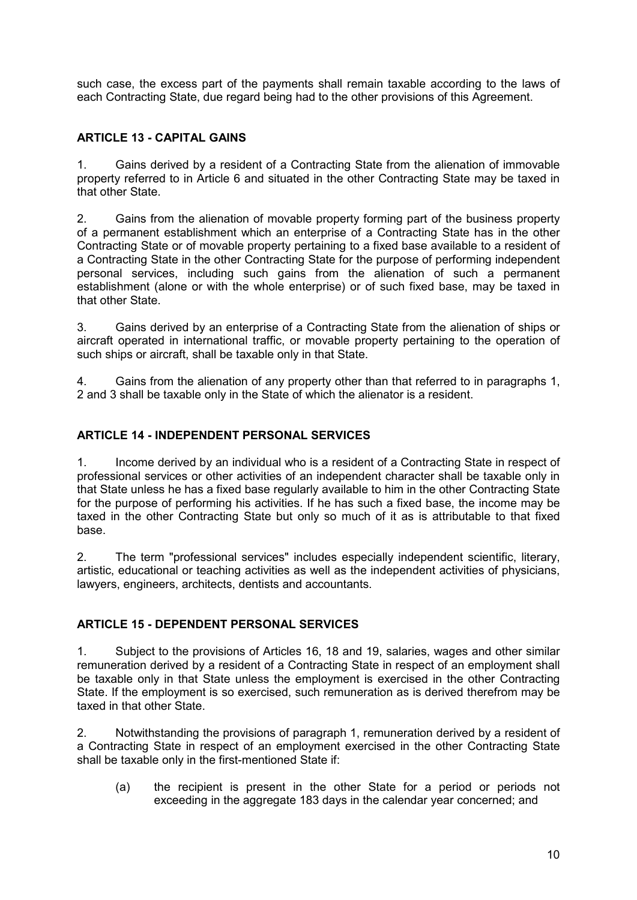such case, the excess part of the payments shall remain taxable according to the laws of each Contracting State, due regard being had to the other provisions of this Agreement.

# **ARTICLE 13 - CAPITAL GAINS**

1. Gains derived by a resident of a Contracting State from the alienation of immovable property referred to in Article 6 and situated in the other Contracting State may be taxed in that other State.

2. Gains from the alienation of movable property forming part of the business property of a permanent establishment which an enterprise of a Contracting State has in the other Contracting State or of movable property pertaining to a fixed base available to a resident of a Contracting State in the other Contracting State for the purpose of performing independent personal services, including such gains from the alienation of such a permanent establishment (alone or with the whole enterprise) or of such fixed base, may be taxed in that other State.

3. Gains derived by an enterprise of a Contracting State from the alienation of ships or aircraft operated in international traffic, or movable property pertaining to the operation of such ships or aircraft, shall be taxable only in that State.

4. Gains from the alienation of any property other than that referred to in paragraphs 1, 2 and 3 shall be taxable only in the State of which the alienator is a resident.

# **ARTICLE 14 - INDEPENDENT PERSONAL SERVICES**

1. Income derived by an individual who is a resident of a Contracting State in respect of professional services or other activities of an independent character shall be taxable only in that State unless he has a fixed base regularly available to him in the other Contracting State for the purpose of performing his activities. If he has such a fixed base, the income may be taxed in the other Contracting State but only so much of it as is attributable to that fixed base.

2. The term "professional services" includes especially independent scientific, literary, artistic, educational or teaching activities as well as the independent activities of physicians, lawyers, engineers, architects, dentists and accountants.

# **ARTICLE 15 - DEPENDENT PERSONAL SERVICES**

1. Subject to the provisions of Articles 16, 18 and 19, salaries, wages and other similar remuneration derived by a resident of a Contracting State in respect of an employment shall be taxable only in that State unless the employment is exercised in the other Contracting State. If the employment is so exercised, such remuneration as is derived therefrom may be taxed in that other State.

2. Notwithstanding the provisions of paragraph 1, remuneration derived by a resident of a Contracting State in respect of an employment exercised in the other Contracting State shall be taxable only in the first-mentioned State if:

(a) the recipient is present in the other State for a period or periods not exceeding in the aggregate 183 days in the calendar year concerned; and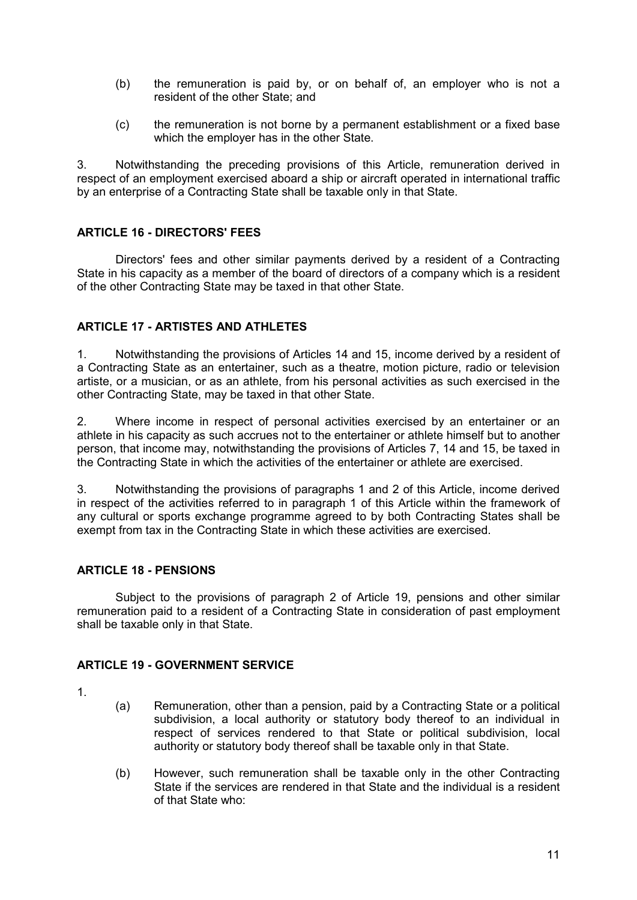- (b) the remuneration is paid by, or on behalf of, an employer who is not a resident of the other State; and
- (c) the remuneration is not borne by a permanent establishment or a fixed base which the employer has in the other State.

3. Notwithstanding the preceding provisions of this Article, remuneration derived in respect of an employment exercised aboard a ship or aircraft operated in international traffic by an enterprise of a Contracting State shall be taxable only in that State.

#### **ARTICLE 16 - DIRECTORS' FEES**

Directors' fees and other similar payments derived by a resident of a Contracting State in his capacity as a member of the board of directors of a company which is a resident of the other Contracting State may be taxed in that other State.

# **ARTICLE 17 - ARTISTES AND ATHLETES**

1. Notwithstanding the provisions of Articles 14 and 15, income derived by a resident of a Contracting State as an entertainer, such as a theatre, motion picture, radio or television artiste, or a musician, or as an athlete, from his personal activities as such exercised in the other Contracting State, may be taxed in that other State.

2. Where income in respect of personal activities exercised by an entertainer or an athlete in his capacity as such accrues not to the entertainer or athlete himself but to another person, that income may, notwithstanding the provisions of Articles 7, 14 and 15, be taxed in the Contracting State in which the activities of the entertainer or athlete are exercised.

3. Notwithstanding the provisions of paragraphs 1 and 2 of this Article, income derived in respect of the activities referred to in paragraph 1 of this Article within the framework of any cultural or sports exchange programme agreed to by both Contracting States shall be exempt from tax in the Contracting State in which these activities are exercised.

#### **ARTICLE 18 - PENSIONS**

Subject to the provisions of paragraph 2 of Article 19, pensions and other similar remuneration paid to a resident of a Contracting State in consideration of past employment shall be taxable only in that State.

#### **ARTICLE 19 - GOVERNMENT SERVICE**

1.

- (a) Remuneration, other than a pension, paid by a Contracting State or a political subdivision, a local authority or statutory body thereof to an individual in respect of services rendered to that State or political subdivision, local authority or statutory body thereof shall be taxable only in that State.
- (b) However, such remuneration shall be taxable only in the other Contracting State if the services are rendered in that State and the individual is a resident of that State who: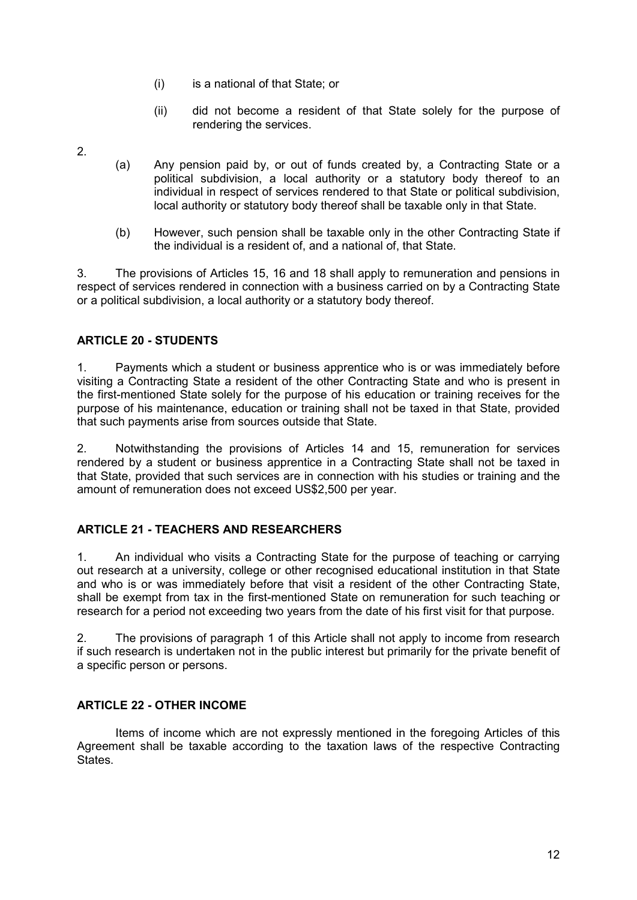- (i) is a national of that State; or
- (ii) did not become a resident of that State solely for the purpose of rendering the services.

2.

- (a) Any pension paid by, or out of funds created by, a Contracting State or a political subdivision, a local authority or a statutory body thereof to an individual in respect of services rendered to that State or political subdivision, local authority or statutory body thereof shall be taxable only in that State.
- (b) However, such pension shall be taxable only in the other Contracting State if the individual is a resident of, and a national of, that State.

3. The provisions of Articles 15, 16 and 18 shall apply to remuneration and pensions in respect of services rendered in connection with a business carried on by a Contracting State or a political subdivision, a local authority or a statutory body thereof.

# **ARTICLE 20 - STUDENTS**

1. Payments which a student or business apprentice who is or was immediately before visiting a Contracting State a resident of the other Contracting State and who is present in the first-mentioned State solely for the purpose of his education or training receives for the purpose of his maintenance, education or training shall not be taxed in that State, provided that such payments arise from sources outside that State.

2. Notwithstanding the provisions of Articles 14 and 15, remuneration for services rendered by a student or business apprentice in a Contracting State shall not be taxed in that State, provided that such services are in connection with his studies or training and the amount of remuneration does not exceed US\$2,500 per year.

#### **ARTICLE 21 - TEACHERS AND RESEARCHERS**

1. An individual who visits a Contracting State for the purpose of teaching or carrying out research at a university, college or other recognised educational institution in that State and who is or was immediately before that visit a resident of the other Contracting State, shall be exempt from tax in the first-mentioned State on remuneration for such teaching or research for a period not exceeding two years from the date of his first visit for that purpose.

2. The provisions of paragraph 1 of this Article shall not apply to income from research if such research is undertaken not in the public interest but primarily for the private benefit of a specific person or persons.

# **ARTICLE 22 - OTHER INCOME**

Items of income which are not expressly mentioned in the foregoing Articles of this Agreement shall be taxable according to the taxation laws of the respective Contracting **States**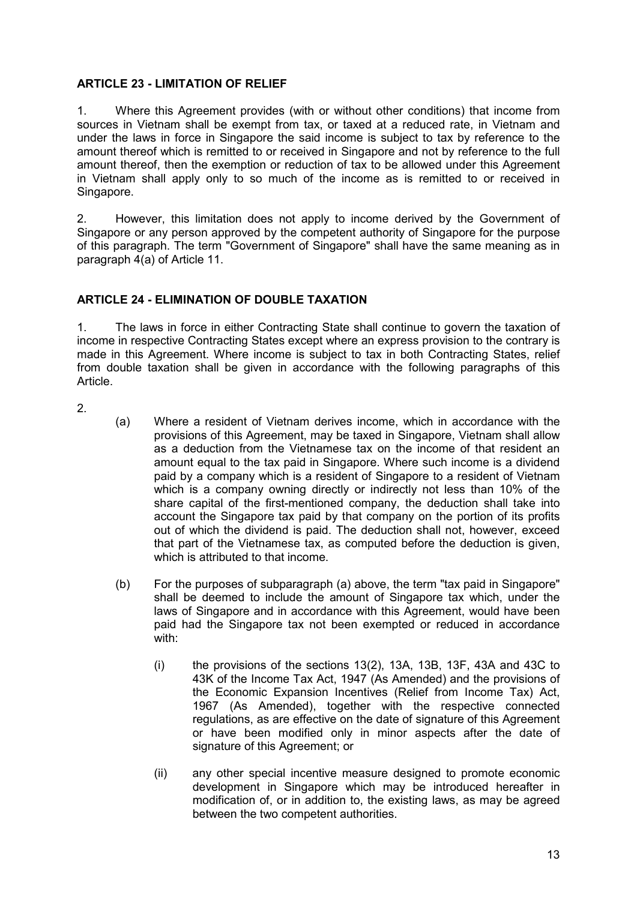#### **ARTICLE 23 - LIMITATION OF RELIEF**

1. Where this Agreement provides (with or without other conditions) that income from sources in Vietnam shall be exempt from tax, or taxed at a reduced rate, in Vietnam and under the laws in force in Singapore the said income is subject to tax by reference to the amount thereof which is remitted to or received in Singapore and not by reference to the full amount thereof, then the exemption or reduction of tax to be allowed under this Agreement in Vietnam shall apply only to so much of the income as is remitted to or received in Singapore.

2. However, this limitation does not apply to income derived by the Government of Singapore or any person approved by the competent authority of Singapore for the purpose of this paragraph. The term "Government of Singapore" shall have the same meaning as in paragraph 4(a) of Article 11.

# **ARTICLE 24 - ELIMINATION OF DOUBLE TAXATION**

1. The laws in force in either Contracting State shall continue to govern the taxation of income in respective Contracting States except where an express provision to the contrary is made in this Agreement. Where income is subject to tax in both Contracting States, relief from double taxation shall be given in accordance with the following paragraphs of this Article.

2.

- (a) Where a resident of Vietnam derives income, which in accordance with the provisions of this Agreement, may be taxed in Singapore, Vietnam shall allow as a deduction from the Vietnamese tax on the income of that resident an amount equal to the tax paid in Singapore. Where such income is a dividend paid by a company which is a resident of Singapore to a resident of Vietnam which is a company owning directly or indirectly not less than 10% of the share capital of the first-mentioned company, the deduction shall take into account the Singapore tax paid by that company on the portion of its profits out of which the dividend is paid. The deduction shall not, however, exceed that part of the Vietnamese tax, as computed before the deduction is given, which is attributed to that income.
- (b) For the purposes of subparagraph (a) above, the term "tax paid in Singapore" shall be deemed to include the amount of Singapore tax which, under the laws of Singapore and in accordance with this Agreement, would have been paid had the Singapore tax not been exempted or reduced in accordance with:
	- (i) the provisions of the sections 13(2), 13A, 13B, 13F, 43A and 43C to 43K of the Income Tax Act, 1947 (As Amended) and the provisions of the Economic Expansion Incentives (Relief from Income Tax) Act, 1967 (As Amended), together with the respective connected regulations, as are effective on the date of signature of this Agreement or have been modified only in minor aspects after the date of signature of this Agreement; or
	- (ii) any other special incentive measure designed to promote economic development in Singapore which may be introduced hereafter in modification of, or in addition to, the existing laws, as may be agreed between the two competent authorities.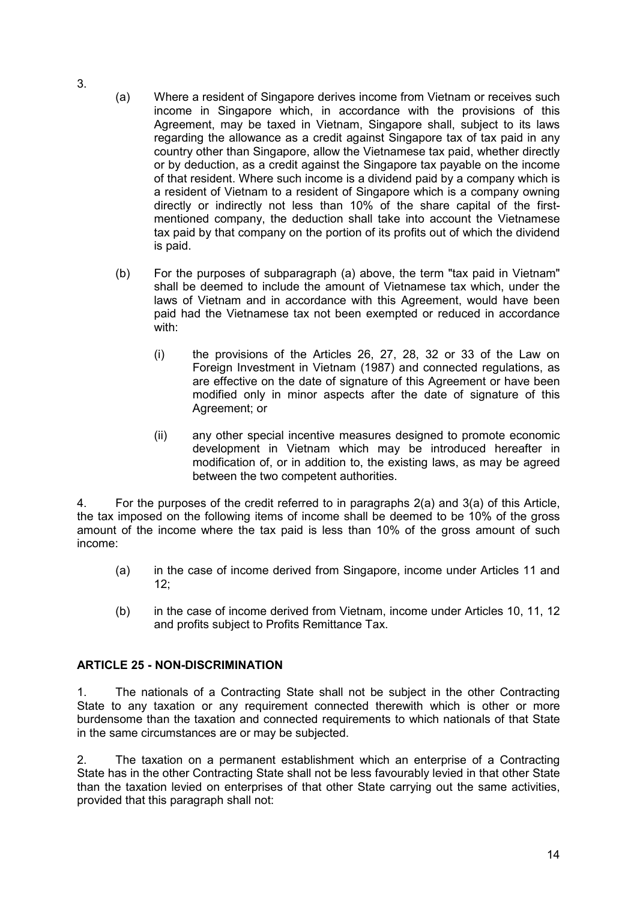- (a) Where a resident of Singapore derives income from Vietnam or receives such income in Singapore which, in accordance with the provisions of this Agreement, may be taxed in Vietnam, Singapore shall, subject to its laws regarding the allowance as a credit against Singapore tax of tax paid in any country other than Singapore, allow the Vietnamese tax paid, whether directly or by deduction, as a credit against the Singapore tax payable on the income of that resident. Where such income is a dividend paid by a company which is a resident of Vietnam to a resident of Singapore which is a company owning directly or indirectly not less than 10% of the share capital of the firstmentioned company, the deduction shall take into account the Vietnamese tax paid by that company on the portion of its profits out of which the dividend is paid.
- (b) For the purposes of subparagraph (a) above, the term "tax paid in Vietnam" shall be deemed to include the amount of Vietnamese tax which, under the laws of Vietnam and in accordance with this Agreement, would have been paid had the Vietnamese tax not been exempted or reduced in accordance with:
	- (i) the provisions of the Articles 26, 27, 28, 32 or 33 of the Law on Foreign Investment in Vietnam (1987) and connected regulations, as are effective on the date of signature of this Agreement or have been modified only in minor aspects after the date of signature of this Agreement; or
	- (ii) any other special incentive measures designed to promote economic development in Vietnam which may be introduced hereafter in modification of, or in addition to, the existing laws, as may be agreed between the two competent authorities.

4. For the purposes of the credit referred to in paragraphs 2(a) and 3(a) of this Article, the tax imposed on the following items of income shall be deemed to be 10% of the gross amount of the income where the tax paid is less than 10% of the gross amount of such income:

- (a) in the case of income derived from Singapore, income under Articles 11 and 12;
- (b) in the case of income derived from Vietnam, income under Articles 10, 11, 12 and profits subject to Profits Remittance Tax.

# **ARTICLE 25 - NON-DISCRIMINATION**

1. The nationals of a Contracting State shall not be subject in the other Contracting State to any taxation or any requirement connected therewith which is other or more burdensome than the taxation and connected requirements to which nationals of that State in the same circumstances are or may be subjected.

2. The taxation on a permanent establishment which an enterprise of a Contracting State has in the other Contracting State shall not be less favourably levied in that other State than the taxation levied on enterprises of that other State carrying out the same activities, provided that this paragraph shall not:

3.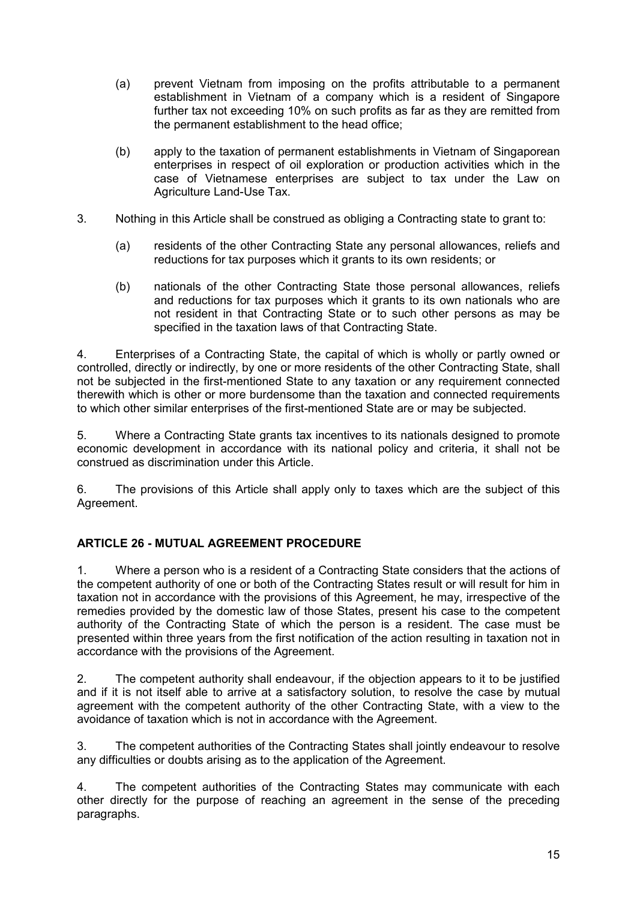- (a) prevent Vietnam from imposing on the profits attributable to a permanent establishment in Vietnam of a company which is a resident of Singapore further tax not exceeding 10% on such profits as far as they are remitted from the permanent establishment to the head office;
- (b) apply to the taxation of permanent establishments in Vietnam of Singaporean enterprises in respect of oil exploration or production activities which in the case of Vietnamese enterprises are subject to tax under the Law on Agriculture Land-Use Tax.
- 3. Nothing in this Article shall be construed as obliging a Contracting state to grant to:
	- (a) residents of the other Contracting State any personal allowances, reliefs and reductions for tax purposes which it grants to its own residents; or
	- (b) nationals of the other Contracting State those personal allowances, reliefs and reductions for tax purposes which it grants to its own nationals who are not resident in that Contracting State or to such other persons as may be specified in the taxation laws of that Contracting State.

4. Enterprises of a Contracting State, the capital of which is wholly or partly owned or controlled, directly or indirectly, by one or more residents of the other Contracting State, shall not be subjected in the first-mentioned State to any taxation or any requirement connected therewith which is other or more burdensome than the taxation and connected requirements to which other similar enterprises of the first-mentioned State are or may be subjected.

5. Where a Contracting State grants tax incentives to its nationals designed to promote economic development in accordance with its national policy and criteria, it shall not be construed as discrimination under this Article.

6. The provisions of this Article shall apply only to taxes which are the subject of this Agreement.

# **ARTICLE 26 - MUTUAL AGREEMENT PROCEDURE**

1. Where a person who is a resident of a Contracting State considers that the actions of the competent authority of one or both of the Contracting States result or will result for him in taxation not in accordance with the provisions of this Agreement, he may, irrespective of the remedies provided by the domestic law of those States, present his case to the competent authority of the Contracting State of which the person is a resident. The case must be presented within three years from the first notification of the action resulting in taxation not in accordance with the provisions of the Agreement.

2. The competent authority shall endeavour, if the objection appears to it to be justified and if it is not itself able to arrive at a satisfactory solution, to resolve the case by mutual agreement with the competent authority of the other Contracting State, with a view to the avoidance of taxation which is not in accordance with the Agreement.

3. The competent authorities of the Contracting States shall jointly endeavour to resolve any difficulties or doubts arising as to the application of the Agreement.

4. The competent authorities of the Contracting States may communicate with each other directly for the purpose of reaching an agreement in the sense of the preceding paragraphs.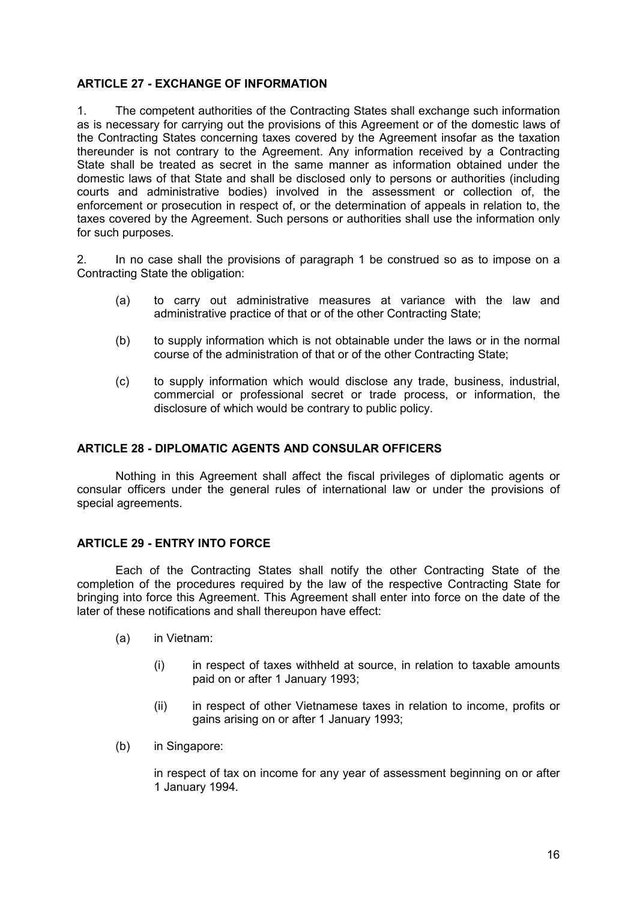#### **ARTICLE 27 - EXCHANGE OF INFORMATION**

1. The competent authorities of the Contracting States shall exchange such information as is necessary for carrying out the provisions of this Agreement or of the domestic laws of the Contracting States concerning taxes covered by the Agreement insofar as the taxation thereunder is not contrary to the Agreement. Any information received by a Contracting State shall be treated as secret in the same manner as information obtained under the domestic laws of that State and shall be disclosed only to persons or authorities (including courts and administrative bodies) involved in the assessment or collection of, the enforcement or prosecution in respect of, or the determination of appeals in relation to, the taxes covered by the Agreement. Such persons or authorities shall use the information only for such purposes.

2. In no case shall the provisions of paragraph 1 be construed so as to impose on a Contracting State the obligation:

- (a) to carry out administrative measures at variance with the law and administrative practice of that or of the other Contracting State;
- (b) to supply information which is not obtainable under the laws or in the normal course of the administration of that or of the other Contracting State;
- (c) to supply information which would disclose any trade, business, industrial, commercial or professional secret or trade process, or information, the disclosure of which would be contrary to public policy.

#### **ARTICLE 28 - DIPLOMATIC AGENTS AND CONSULAR OFFICERS**

Nothing in this Agreement shall affect the fiscal privileges of diplomatic agents or consular officers under the general rules of international law or under the provisions of special agreements.

#### **ARTICLE 29 - ENTRY INTO FORCE**

Each of the Contracting States shall notify the other Contracting State of the completion of the procedures required by the law of the respective Contracting State for bringing into force this Agreement. This Agreement shall enter into force on the date of the later of these notifications and shall thereupon have effect:

- (a) in Vietnam:
	- (i) in respect of taxes withheld at source, in relation to taxable amounts paid on or after 1 January 1993;
	- (ii) in respect of other Vietnamese taxes in relation to income, profits or gains arising on or after 1 January 1993;
- (b) in Singapore:

 in respect of tax on income for any year of assessment beginning on or after 1 January 1994.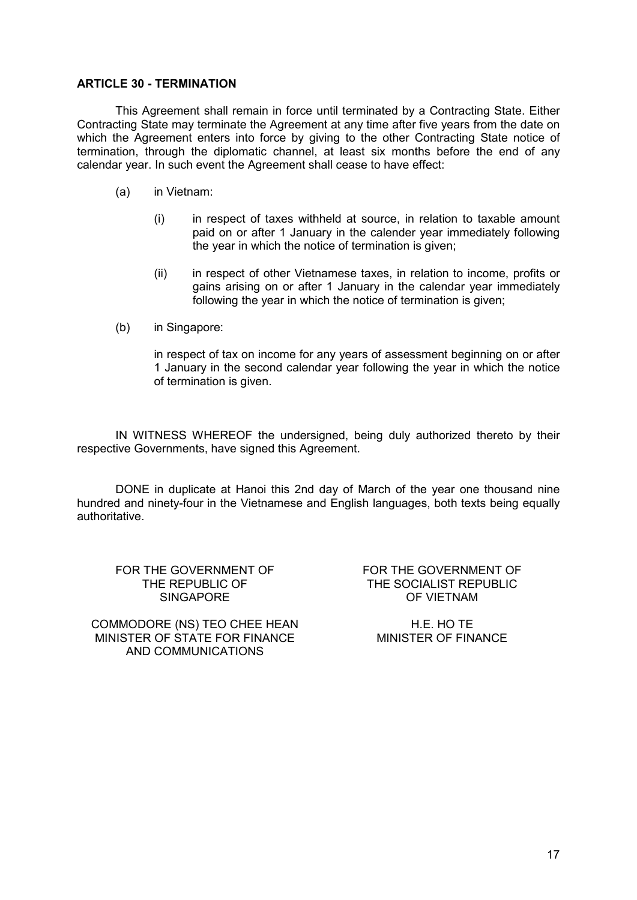#### **ARTICLE 30 - TERMINATION**

This Agreement shall remain in force until terminated by a Contracting State. Either Contracting State may terminate the Agreement at any time after five years from the date on which the Agreement enters into force by giving to the other Contracting State notice of termination, through the diplomatic channel, at least six months before the end of any calendar year. In such event the Agreement shall cease to have effect:

- (a) in Vietnam:
	- (i) in respect of taxes withheld at source, in relation to taxable amount paid on or after 1 January in the calender year immediately following the year in which the notice of termination is given;
	- (ii) in respect of other Vietnamese taxes, in relation to income, profits or gains arising on or after 1 January in the calendar year immediately following the year in which the notice of termination is given;
- (b) in Singapore:

 in respect of tax on income for any years of assessment beginning on or after 1 January in the second calendar year following the year in which the notice of termination is given.

IN WITNESS WHEREOF the undersigned, being duly authorized thereto by their respective Governments, have signed this Agreement.

DONE in duplicate at Hanoi this 2nd day of March of the year one thousand nine hundred and ninety-four in the Vietnamese and English languages, both texts being equally authoritative.

FOR THE GOVERNMENT OF THE REPUBLIC OF **SINGAPORE** 

COMMODORE (NS) TEO CHEE HEAN MINISTER OF STATE FOR FINANCE AND COMMUNICATIONS

FOR THE GOVERNMENT OF THE SOCIALIST REPUBLIC OF VIETNAM

H.E. HO TE MINISTER OF FINANCE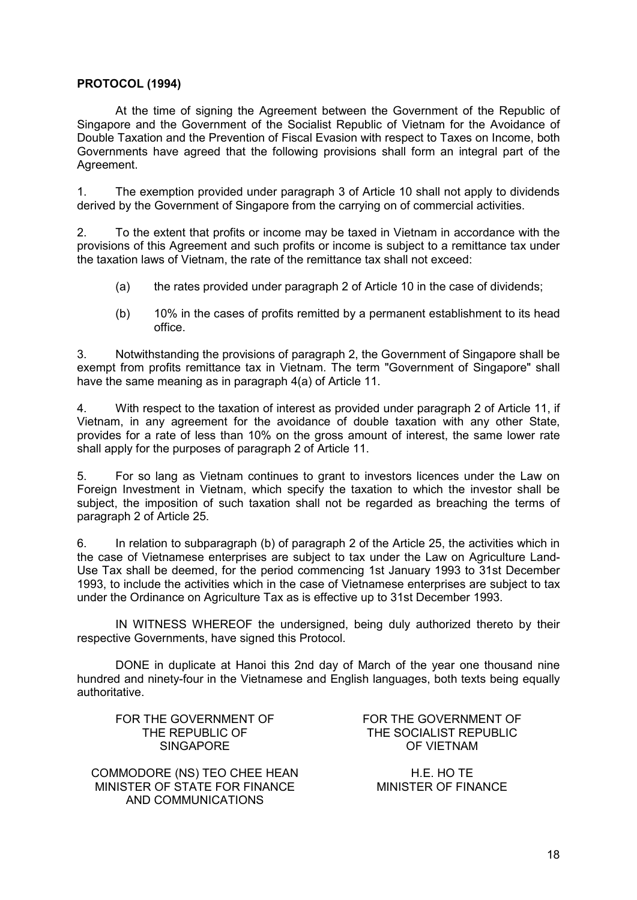#### **PROTOCOL (1994)**

At the time of signing the Agreement between the Government of the Republic of Singapore and the Government of the Socialist Republic of Vietnam for the Avoidance of Double Taxation and the Prevention of Fiscal Evasion with respect to Taxes on Income, both Governments have agreed that the following provisions shall form an integral part of the Agreement.

1. The exemption provided under paragraph 3 of Article 10 shall not apply to dividends derived by the Government of Singapore from the carrying on of commercial activities.

2. To the extent that profits or income may be taxed in Vietnam in accordance with the provisions of this Agreement and such profits or income is subject to a remittance tax under the taxation laws of Vietnam, the rate of the remittance tax shall not exceed:

- (a) the rates provided under paragraph 2 of Article 10 in the case of dividends;
- (b) 10% in the cases of profits remitted by a permanent establishment to its head office.

3. Notwithstanding the provisions of paragraph 2, the Government of Singapore shall be exempt from profits remittance tax in Vietnam. The term "Government of Singapore" shall have the same meaning as in paragraph 4(a) of Article 11.

4. With respect to the taxation of interest as provided under paragraph 2 of Article 11, if Vietnam, in any agreement for the avoidance of double taxation with any other State, provides for a rate of less than 10% on the gross amount of interest, the same lower rate shall apply for the purposes of paragraph 2 of Article 11.

5. For so lang as Vietnam continues to grant to investors licences under the Law on Foreign Investment in Vietnam, which specify the taxation to which the investor shall be subject, the imposition of such taxation shall not be regarded as breaching the terms of paragraph 2 of Article 25.

6. In relation to subparagraph (b) of paragraph 2 of the Article 25, the activities which in the case of Vietnamese enterprises are subject to tax under the Law on Agriculture Land-Use Tax shall be deemed, for the period commencing 1st January 1993 to 31st December 1993, to include the activities which in the case of Vietnamese enterprises are subject to tax under the Ordinance on Agriculture Tax as is effective up to 31st December 1993.

IN WITNESS WHEREOF the undersigned, being duly authorized thereto by their respective Governments, have signed this Protocol.

DONE in duplicate at Hanoi this 2nd day of March of the year one thousand nine hundred and ninety-four in the Vietnamese and English languages, both texts being equally authoritative.

FOR THE GOVERNMENT OF THE REPUBLIC OF **SINGAPORE** 

COMMODORE (NS) TEO CHEE HEAN MINISTER OF STATE FOR FINANCE AND COMMUNICATIONS

FOR THE GOVERNMENT OF THE SOCIALIST REPUBLIC OF VIETNAM

H.E. HO TE MINISTER OF FINANCE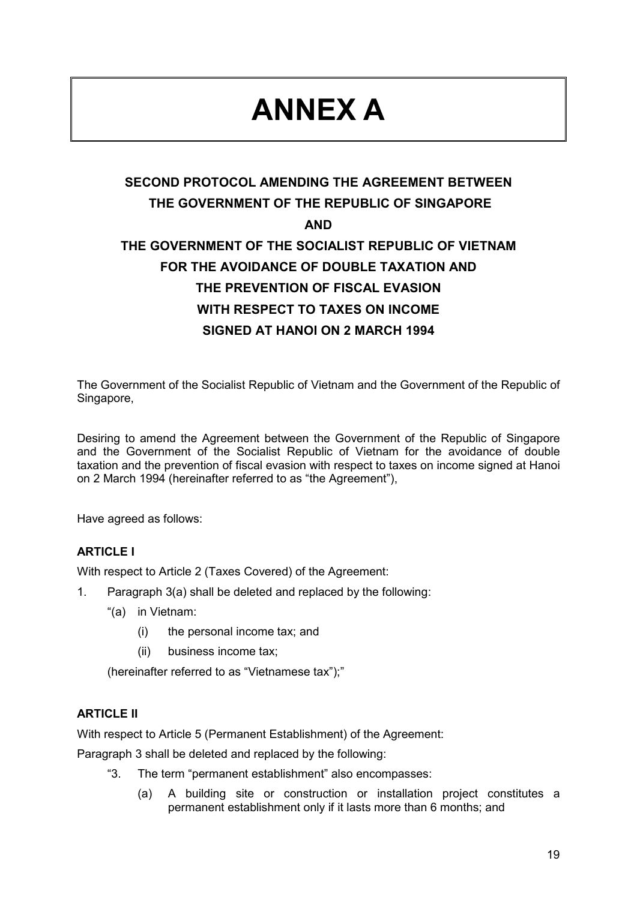# **ANNEX A**

# **SECOND PROTOCOL AMENDING THE AGREEMENT BETWEEN THE GOVERNMENT OF THE REPUBLIC OF SINGAPORE AND THE GOVERNMENT OF THE SOCIALIST REPUBLIC OF VIETNAM FOR THE AVOIDANCE OF DOUBLE TAXATION AND THE PREVENTION OF FISCAL EVASION WITH RESPECT TO TAXES ON INCOME SIGNED AT HANOI ON 2 MARCH 1994**

The Government of the Socialist Republic of Vietnam and the Government of the Republic of Singapore,

Desiring to amend the Agreement between the Government of the Republic of Singapore and the Government of the Socialist Republic of Vietnam for the avoidance of double taxation and the prevention of fiscal evasion with respect to taxes on income signed at Hanoi on 2 March 1994 (hereinafter referred to as "the Agreement"),

Have agreed as follows:

# **ARTICLE I**

With respect to Article 2 (Taxes Covered) of the Agreement:

- 1. Paragraph 3(a) shall be deleted and replaced by the following:
	- "(a) in Vietnam:
		- (i) the personal income tax; and
		- (ii) business income tax;

(hereinafter referred to as "Vietnamese tax");"

# **ARTICLE II**

With respect to Article 5 (Permanent Establishment) of the Agreement:

Paragraph 3 shall be deleted and replaced by the following:

- "3. The term "permanent establishment" also encompasses:
	- (a) A building site or construction or installation project constitutes a permanent establishment only if it lasts more than 6 months; and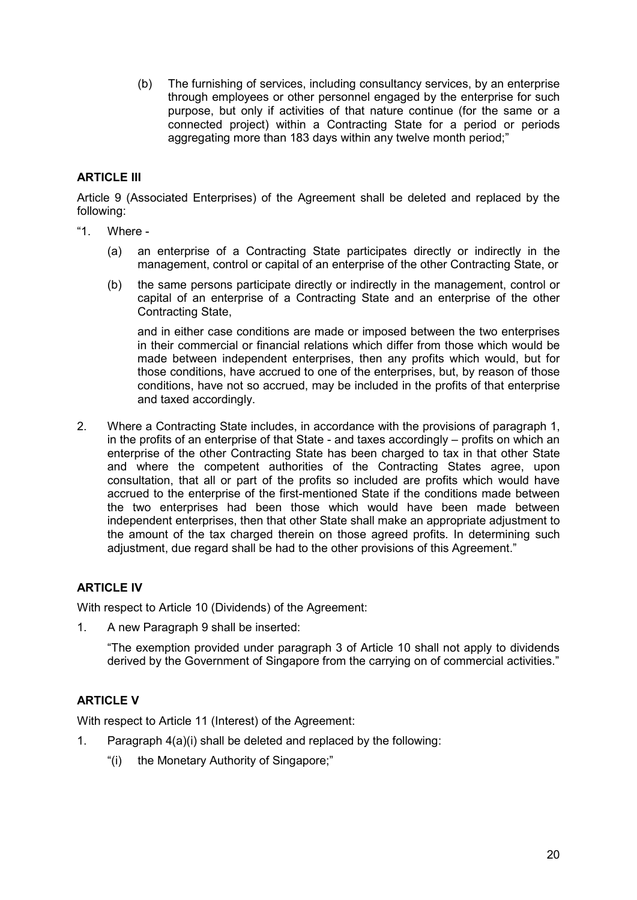(b) The furnishing of services, including consultancy services, by an enterprise through employees or other personnel engaged by the enterprise for such purpose, but only if activities of that nature continue (for the same or a connected project) within a Contracting State for a period or periods agaregating more than 183 days within any twelve month period:"

# **ARTICLE III**

Article 9 (Associated Enterprises) of the Agreement shall be deleted and replaced by the following:

- "1. Where
	- (a) an enterprise of a Contracting State participates directly or indirectly in the management, control or capital of an enterprise of the other Contracting State, or
	- (b) the same persons participate directly or indirectly in the management, control or capital of an enterprise of a Contracting State and an enterprise of the other Contracting State,

and in either case conditions are made or imposed between the two enterprises in their commercial or financial relations which differ from those which would be made between independent enterprises, then any profits which would, but for those conditions, have accrued to one of the enterprises, but, by reason of those conditions, have not so accrued, may be included in the profits of that enterprise and taxed accordingly.

2. Where a Contracting State includes, in accordance with the provisions of paragraph 1, in the profits of an enterprise of that State - and taxes accordingly – profits on which an enterprise of the other Contracting State has been charged to tax in that other State and where the competent authorities of the Contracting States agree, upon consultation, that all or part of the profits so included are profits which would have accrued to the enterprise of the first-mentioned State if the conditions made between the two enterprises had been those which would have been made between independent enterprises, then that other State shall make an appropriate adjustment to the amount of the tax charged therein on those agreed profits. In determining such adjustment, due regard shall be had to the other provisions of this Agreement."

#### **ARTICLE IV**

With respect to Article 10 (Dividends) of the Agreement:

1. A new Paragraph 9 shall be inserted:

"The exemption provided under paragraph 3 of Article 10 shall not apply to dividends derived by the Government of Singapore from the carrying on of commercial activities."

# **ARTICLE V**

With respect to Article 11 (Interest) of the Agreement:

- 1. Paragraph 4(a)(i) shall be deleted and replaced by the following:
	- "(i) the Monetary Authority of Singapore;"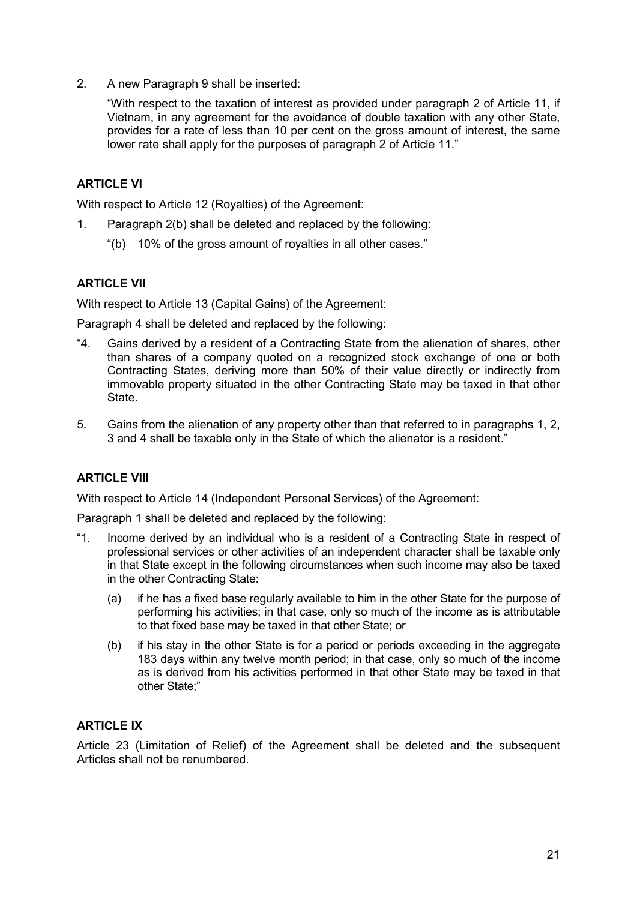2. A new Paragraph 9 shall be inserted:

"With respect to the taxation of interest as provided under paragraph 2 of Article 11, if Vietnam, in any agreement for the avoidance of double taxation with any other State, provides for a rate of less than 10 per cent on the gross amount of interest, the same lower rate shall apply for the purposes of paragraph 2 of Article 11."

# **ARTICLE VI**

With respect to Article 12 (Royalties) of the Agreement:

- 1. Paragraph 2(b) shall be deleted and replaced by the following:
	- "(b) 10% of the gross amount of royalties in all other cases."

# **ARTICLE VII**

With respect to Article 13 (Capital Gains) of the Agreement:

Paragraph 4 shall be deleted and replaced by the following:

- "4. Gains derived by a resident of a Contracting State from the alienation of shares, other than shares of a company quoted on a recognized stock exchange of one or both Contracting States, deriving more than 50% of their value directly or indirectly from immovable property situated in the other Contracting State may be taxed in that other State.
- 5**.** Gains from the alienation of any property other than that referred to in paragraphs 1, 2, 3 and 4 shall be taxable only in the State of which the alienator is a resident."

# **ARTICLE VIII**

With respect to Article 14 (Independent Personal Services) of the Agreement:

Paragraph 1 shall be deleted and replaced by the following:

- "1. Income derived by an individual who is a resident of a Contracting State in respect of professional services or other activities of an independent character shall be taxable only in that State except in the following circumstances when such income may also be taxed in the other Contracting State:
	- (a) if he has a fixed base regularly available to him in the other State for the purpose of performing his activities; in that case, only so much of the income as is attributable to that fixed base may be taxed in that other State; or
	- (b) if his stay in the other State is for a period or periods exceeding in the aggregate 183 days within any twelve month period; in that case, only so much of the income as is derived from his activities performed in that other State may be taxed in that other State;"

# **ARTICLE IX**

Article 23 (Limitation of Relief) of the Agreement shall be deleted and the subsequent Articles shall not be renumbered.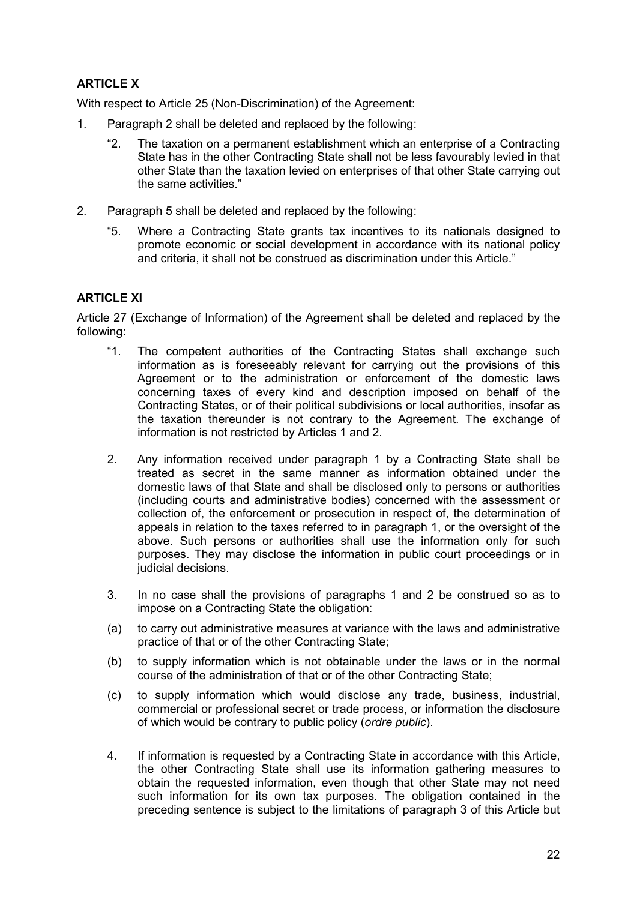# **ARTICLE X**

With respect to Article 25 (Non-Discrimination) of the Agreement:

- 1. Paragraph 2 shall be deleted and replaced by the following:
	- "2. The taxation on a permanent establishment which an enterprise of a Contracting State has in the other Contracting State shall not be less favourably levied in that other State than the taxation levied on enterprises of that other State carrying out the same activities."
- 2. Paragraph 5 shall be deleted and replaced by the following:
	- "5. Where a Contracting State grants tax incentives to its nationals designed to promote economic or social development in accordance with its national policy and criteria, it shall not be construed as discrimination under this Article."

#### **ARTICLE XI**

Article 27 (Exchange of Information) of the Agreement shall be deleted and replaced by the following:

- "1. The competent authorities of the Contracting States shall exchange such information as is foreseeably relevant for carrying out the provisions of this Agreement or to the administration or enforcement of the domestic laws concerning taxes of every kind and description imposed on behalf of the Contracting States, or of their political subdivisions or local authorities, insofar as the taxation thereunder is not contrary to the Agreement. The exchange of information is not restricted by Articles 1 and 2.
- 2. Any information received under paragraph 1 by a Contracting State shall be treated as secret in the same manner as information obtained under the domestic laws of that State and shall be disclosed only to persons or authorities (including courts and administrative bodies) concerned with the assessment or collection of, the enforcement or prosecution in respect of, the determination of appeals in relation to the taxes referred to in paragraph 1, or the oversight of the above. Such persons or authorities shall use the information only for such purposes. They may disclose the information in public court proceedings or in judicial decisions.
- 3. In no case shall the provisions of paragraphs 1 and 2 be construed so as to impose on a Contracting State the obligation:
- (a) to carry out administrative measures at variance with the laws and administrative practice of that or of the other Contracting State;
- (b) to supply information which is not obtainable under the laws or in the normal course of the administration of that or of the other Contracting State;
- (c) to supply information which would disclose any trade, business, industrial, commercial or professional secret or trade process, or information the disclosure of which would be contrary to public policy (*ordre public*).
- 4. If information is requested by a Contracting State in accordance with this Article, the other Contracting State shall use its information gathering measures to obtain the requested information, even though that other State may not need such information for its own tax purposes. The obligation contained in the preceding sentence is subject to the limitations of paragraph 3 of this Article but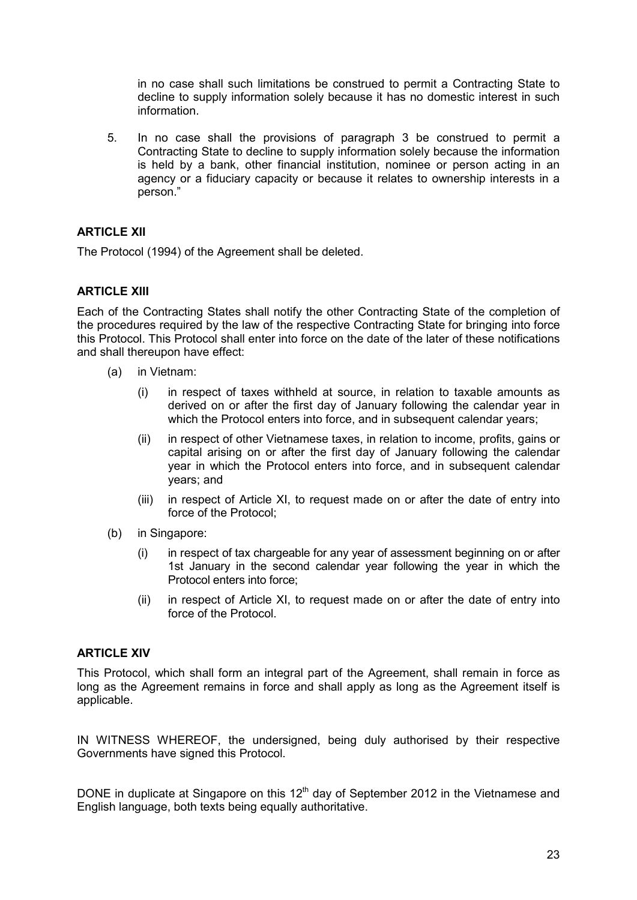in no case shall such limitations be construed to permit a Contracting State to decline to supply information solely because it has no domestic interest in such information.

5. In no case shall the provisions of paragraph 3 be construed to permit a Contracting State to decline to supply information solely because the information is held by a bank, other financial institution, nominee or person acting in an agency or a fiduciary capacity or because it relates to ownership interests in a person."

# **ARTICLE XII**

The Protocol (1994) of the Agreement shall be deleted.

# **ARTICLE XIII**

Each of the Contracting States shall notify the other Contracting State of the completion of the procedures required by the law of the respective Contracting State for bringing into force this Protocol. This Protocol shall enter into force on the date of the later of these notifications and shall thereupon have effect:

- (a) in Vietnam:
	- (i) in respect of taxes withheld at source, in relation to taxable amounts as derived on or after the first day of January following the calendar year in which the Protocol enters into force, and in subsequent calendar years;
	- (ii) in respect of other Vietnamese taxes, in relation to income, profits, gains or capital arising on or after the first day of January following the calendar year in which the Protocol enters into force, and in subsequent calendar years; and
	- (iii) in respect of Article XI, to request made on or after the date of entry into force of the Protocol;
- (b) in Singapore:
	- (i) in respect of tax chargeable for any year of assessment beginning on or after 1st January in the second calendar year following the year in which the Protocol enters into force;
	- (ii) in respect of Article XI, to request made on or after the date of entry into force of the Protocol.

#### **ARTICLE XIV**

This Protocol, which shall form an integral part of the Agreement, shall remain in force as long as the Agreement remains in force and shall apply as long as the Agreement itself is applicable.

IN WITNESS WHEREOF, the undersigned, being duly authorised by their respective Governments have signed this Protocol.

DONE in duplicate at Singapore on this  $12<sup>th</sup>$  day of September 2012 in the Vietnamese and English language, both texts being equally authoritative.